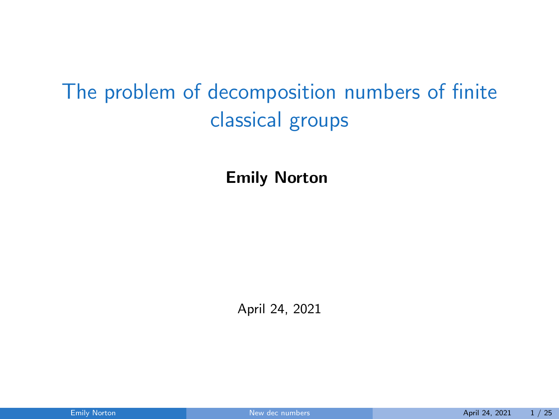# The problem of decomposition numbers of finite classical groups

Emily Norton

<span id="page-0-0"></span>April 24, 2021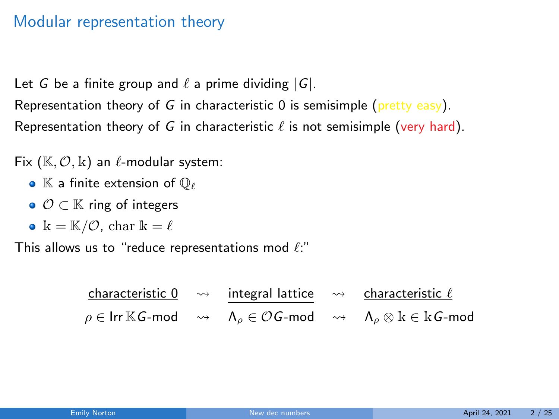### Modular representation theory

Let G be a finite group and  $\ell$  a prime dividing  $|G|$ .

Representation theory of G in characteristic  $\theta$  is semisimple (pretty easy). Representation theory of G in characteristic  $\ell$  is not semisimple (very hard).

Fix  $(\mathbb{K}, \mathcal{O}, \mathbb{k})$  an  $\ell$ -modular system:

- $\bullet$  K a finite extension of  $\mathbb{O}_{\ell}$
- $\bullet$   $\mathcal{O} \subset \mathbb{K}$  ring of integers
- $k = K/O$ , char  $k = \ell$

This allows us to "reduce representations mod  $\ell$ :"

|  | characteristic 0 $\rightarrow$ integral lattice $\rightarrow$ characteristic $\ell$ |                                                                                                                                                                                 |
|--|-------------------------------------------------------------------------------------|---------------------------------------------------------------------------------------------------------------------------------------------------------------------------------|
|  |                                                                                     | $\rho \in \mathsf{Irr}\,\mathbb{K}$ G-mod $\quad\rightsquigarrow\quad\Lambda_\rho \in \mathcal{O}$ G-mod $\quad\rightsquigarrow\quad\Lambda_\rho \otimes \Bbbk \in \Bbbk$ G-mod |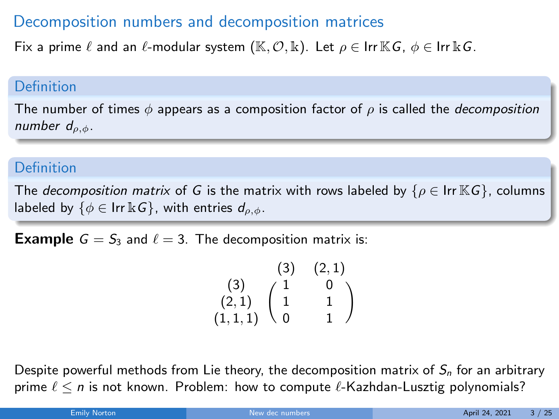## Decomposition numbers and decomposition matrices

Fix a prime  $\ell$  and an  $\ell$ -modular system (K,  $\mathcal{O}, \mathbb{k}$ ). Let  $\rho \in \text{Irr KG}, \phi \in \text{Irr KG}$ .

#### Definition

The number of times  $\phi$  appears as a composition factor of  $\rho$  is called the *decomposition* number  $d_{\rho,\phi}$ .

#### Definition

The decomposition matrix of G is the matrix with rows labeled by  $\{\rho \in \text{Irr } \mathbb{K}G\}$ , columns labeled by  $\{\phi \in \text{Irr }\&G\}$ , with entries  $d_{\rho,\phi}$ .

**Example**  $G = S_3$  and  $\ell = 3$ . The decomposition matrix is:

$$
\begin{array}{cc} & (3) & (2,1) \\ (3) & 1 & 0 \\ (2,1) & 1 & 1 \\ (1,1,1) & 0 & 1 \end{array}
$$

Despite powerful methods from Lie theory, the decomposition matrix of  $S_n$  for an arbitrary prime  $\ell < n$  is not known. Problem: how to compute  $\ell$ -Kazhdan-Lusztig polynomials?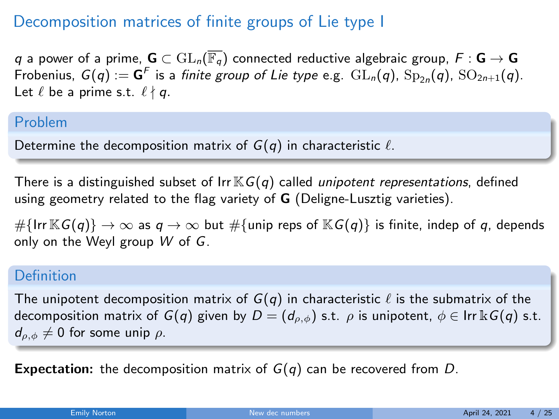## Decomposition matrices of finite groups of Lie type I

q a power of a prime,  $G \subset \mathrm{GL}_n(\overline{\mathbb{F}_q})$  connected reductive algebraic group,  $F : G \to G$ Frobenius,  $G(q) := G^F$  is a *finite group of Lie type* e.g.  $GL_n(q)$ ,  $Sp_{2n}(q)$ ,  $SO_{2n+1}(q)$ . Let  $\ell$  be a prime s.t.  $\ell \nmid q$ .

#### Problem

Determine the decomposition matrix of  $G(q)$  in characteristic  $\ell$ .

There is a distinguished subset of  $\text{Irr}\mathbb{K}G(q)$  called *unipotent representations*, defined using geometry related to the flag variety of **G** (Deligne-Lusztig varieties).

# $\{Irr \mathbb{K}G(q)\} \rightarrow \infty$  as  $q \rightarrow \infty$  but # $\{Iunip$  reps of  $\mathbb{K}G(q)\}$  is finite, indep of q, depends only on the Weyl group W of G.

#### Definition

The unipotent decomposition matrix of  $G(q)$  in characteristic  $\ell$  is the submatrix of the decomposition matrix of  $G(q)$  given by  $D = (d_{\rho,\phi})$  s.t.  $\rho$  is unipotent,  $\phi \in \text{Irr } \mathbb{k}$   $G(q)$  s.t.  $d_{\rho,\phi} \neq 0$  for some unip  $\rho$ .

**Expectation:** the decomposition matrix of  $G(q)$  can be recovered from D.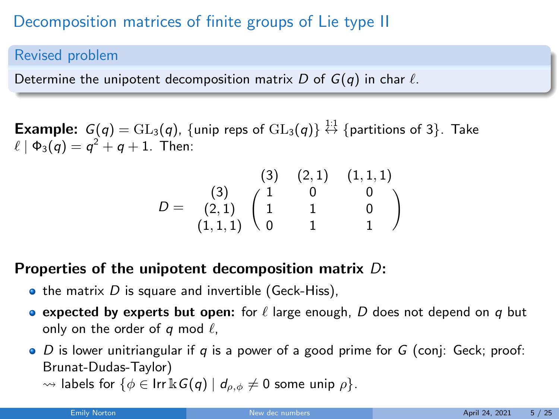# Decomposition matrices of finite groups of Lie type II

#### Revised problem

Determine the unipotent decomposition matrix D of  $G(q)$  in char  $\ell$ .

**Example:**  $G(q) = \text{GL}_3(q)$ , {unip reps of  $\text{GL}_3(q)$ }  $\stackrel{1:1}{\leftrightarrow}$  {partitions of 3}. Take  $\ell \mid \Phi_3 (q) = q^2 + q + 1$ . Then:

$$
D=\begin{array}{c}(3) \ (2,1) \ (1,1,1)\\(3) \ (1 \ 0 \ 0 \\(2,1) \ (1 \ 1 \ 1 \ 0 \\(1,1,1) \ 0 \ 1 \ 1\ 1\end{array}
$$

## Properties of the unipotent decomposition matrix D:

- $\bullet$  the matrix D is square and invertible (Geck-Hiss),
- expected by experts but open: for  $\ell$  large enough, D does not depend on q but only on the order of q mod  $\ell$ ,
- $\bullet$  D is lower unitriangular if q is a power of a good prime for G (conj: Geck; proof: Brunat-Dudas-Taylor)
	- $\rightsquigarrow$  labels for  $\{\phi \in \text{Irr } \& G(q) \mid d_{\rho,\phi} \neq 0 \text{ some unip } \rho\}.$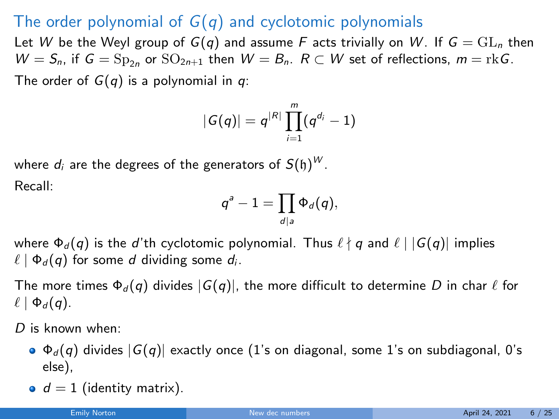## The order polynomial of  $G(q)$  and cyclotomic polynomials

Let W be the Weyl group of  $G(q)$  and assume F acts trivially on W. If  $G = GL_n$  then  $W = S_n$ , if  $G = \text{Sp}_{2n}$  or  $\text{SO}_{2n+1}$  then  $W = B_n$ .  $R \subset W$  set of reflections,  $m = \text{rk } G$ . The order of  $G(q)$  is a polynomial in q:

$$
|G(q)| = q^{|R|} \prod_{i=1}^m (q^{d_i} - 1)
$$

where 
$$
d_i
$$
 are the degrees of the generators of  $S(\mathfrak{h})^W$ .

Recall:

$$
q^a-1=\prod_{d|a}\Phi_d(q),
$$

where  $\Phi_d(q)$  is the d'th cyclotomic polynomial. Thus  $\ell \nmid q$  and  $\ell | G(q)|$  implies  $\ell \mid \Phi_d (q)$  for some d dividing some d<sub>i</sub>.

The more times  $\Phi_d(q)$  divides  $|G(q)|$ , the more difficult to determine D in char  $\ell$  for  $\ell \mid \Phi_d (q)$ .

D is known when:

- $\bullet$   $\Phi_d(q)$  divides  $|G(q)|$  exactly once (1's on diagonal, some 1's on subdiagonal, 0's else),
- $\bullet$   $d = 1$  (identity matrix).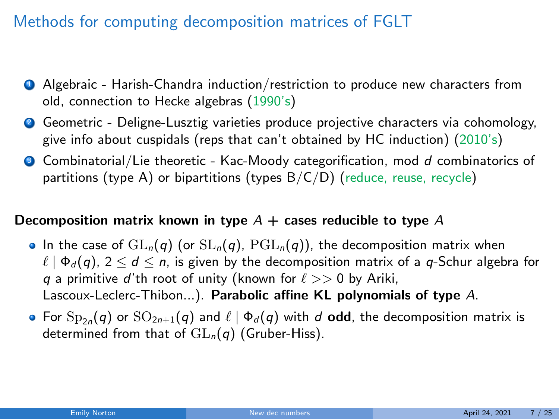## Methods for computing decomposition matrices of FGLT

- **4** Algebraic Harish-Chandra induction/restriction to produce new characters from old, connection to Hecke algebras (1990's)
- **2** Geometric Deligne-Lusztig varieties produce projective characters via cohomology, give info about cuspidals (reps that can't obtained by HC induction) (2010's)
- $\bullet$  Combinatorial/Lie theoretic Kac-Moody categorification, mod d combinatorics of partitions (type A) or bipartitions (types  $B/C/D$ ) (reduce, reuse, recycle)

#### Decomposition matrix known in type  $A$  + cases reducible to type A

- In the case of  $GL_n(q)$  (or  $SL_n(q)$ ,  $PGL_n(q)$ ), the decomposition matrix when  $\ell \mid \Phi_d (q)$ ,  $2 \leq d \leq n$ , is given by the decomposition matrix of a q-Schur algebra for q a primitive d'th root of unity (known for  $\ell >> 0$  by Ariki, Lascoux-Leclerc-Thibon...). Parabolic affine KL polynomials of type A.
- For  ${\rm Sp}_{2n}(q)$  or  ${\rm SO}_{2n+1}(q)$  and  $\ell \mid \Phi_d(q)$  with  $d$  **odd**, the decomposition matrix is determined from that of  $GL_n(q)$  (Gruber-Hiss).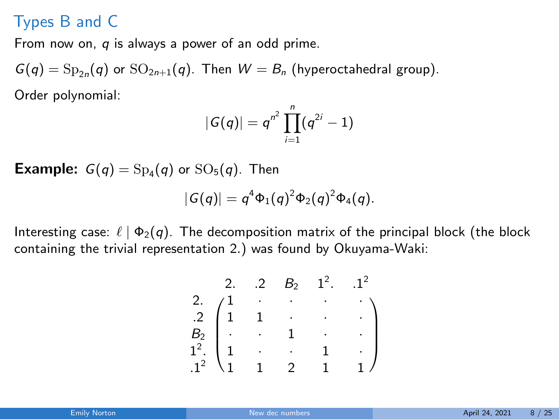## Types B and C

From now on,  $q$  is always a power of an odd prime.

 $G(q) = \mathrm{Sp}_{2n}(q)$  or  $\mathrm{SO}_{2n+1}(q)$ . Then  $W = B_n$  (hyperoctahedral group). Order polynomial:

$$
|G(q)| = q^{n^2} \prod_{i=1}^n (q^{2i} - 1)
$$

**Example:**  $G(q) = Sp_4(q)$  or  $SO_5(q)$ . Then

$$
|G(q)|=q^4\Phi_1(q)^2\Phi_2(q)^2\Phi_4(q).
$$

Interesting case:  $\ell \mid \Phi_2(q)$ . The decomposition matrix of the principal block (the block containing the trivial representation 2.) was found by Okuyama-Waki:

2. 2 
$$
B_2
$$
 1<sup>2</sup>. 1<sup>2</sup>  
\n2.  $\begin{pmatrix} 1 & \cdot & \cdot & \cdot & \cdot \\ 1 & 1 & \cdot & \cdot & \cdot \\ \cdot & \cdot & 1 & \cdot & \cdot \\ 1^2 & 1 & \cdot & \cdot & 1 & \cdot \\ 1 & 1 & 2 & 1 & 1 \end{pmatrix}$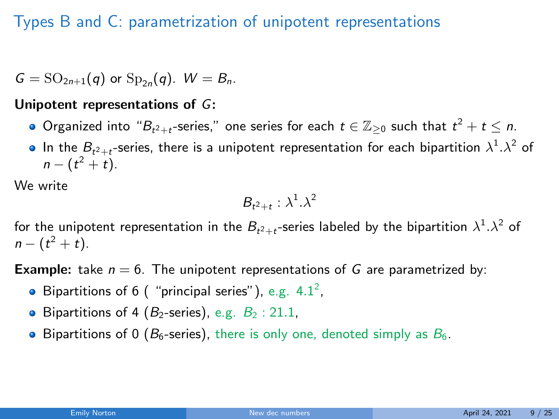## Types B and C: parametrization of unipotent representations

 $G = SO_{2n+1}(q)$  or  $Sp_{2n}(q)$ .  $W = B_n$ .

#### Unipotent representations of G:

- Organized into " $B_{t^2+t}$ -series," one series for each  $t\in\mathbb{Z}_{\geq 0}$  such that  $t^2+t\leq n.$
- In the  $B_{t^2+t}$ -series, there is a unipotent representation for each bipartition  $\lambda^1.\lambda^2$  of  $n - (t^2 + t).$

We write

$$
B_{t^2+t} : \lambda^1.\lambda^2
$$

for the unipotent representation in the  $B_{t^2+t}$ -series labeled by the bipartition  $\lambda^1.\lambda^2$  of  $n - (t^2 + t).$ 

**Example:** take  $n = 6$ . The unipotent representations of G are parametrized by:

- Bipartitions of 6 ( "principal series"), e.g.  $4.1^2$ ,
- **•** Bipartitions of 4 ( $B_2$ -series), e.g.  $B_2$  : 21.1,
- $\bullet$  Bipartitions of 0 ( $B_6$ -series), there is only one, denoted simply as  $B_6$ .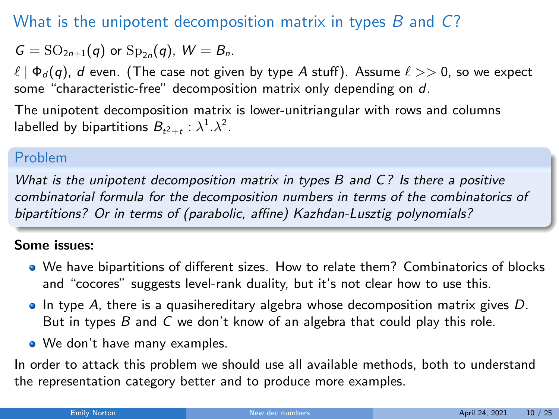## What is the unipotent decomposition matrix in types  $B$  and  $C$ ?

$$
G=\mathrm{SO}_{2n+1}(q) \text{ or } \mathrm{Sp}_{2n}(q), W=B_n.
$$

 $\ell \mid \Phi_d (q)$ , d even. (The case not given by type A stuff). Assume  $\ell >> 0$ , so we expect some "characteristic-free" decomposition matrix only depending on d.

The unipotent decomposition matrix is lower-unitriangular with rows and columns labelled by bipartitions  $B_{t^2+t}$  :  $\lambda^1 \cdot \lambda^2$ .

### Problem

What is the unipotent decomposition matrix in types B and C? Is there a positive combinatorial formula for the decomposition numbers in terms of the combinatorics of bipartitions? Or in terms of (parabolic, affine) Kazhdan-Lusztig polynomials?

#### Some issues:

- We have bipartitions of different sizes. How to relate them? Combinatorics of blocks and "cocores" suggests level-rank duality, but it's not clear how to use this.
- In type A, there is a quasihereditary algebra whose decomposition matrix gives  $D$ . But in types  $B$  and  $C$  we don't know of an algebra that could play this role.
- **We don't have many examples.**

In order to attack this problem we should use all available methods, both to understand the representation category better and to produce more examples.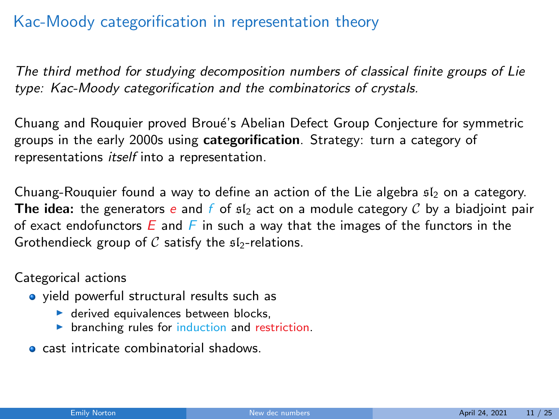## Kac-Moody categorification in representation theory

The third method for studying decomposition numbers of classical finite groups of Lie type: Kac-Moody categorification and the combinatorics of crystals.

Chuang and Rouquier proved Broué's Abelian Defect Group Conjecture for symmetric groups in the early 2000s using categorification. Strategy: turn a category of representations itself into a representation.

Chuang-Rouquier found a way to define an action of the Lie algebra  $sI_2$  on a category. The idea: the generators e and f of  $sI_2$  act on a module category C by a biadjoint pair of exact endofunctors  $E$  and  $F$  in such a way that the images of the functors in the Grothendieck group of  $C$  satisfy the  $sI_2$ -relations.

Categorical actions

- yield powerful structural results such as
	- $\blacktriangleright$  derived equivalences between blocks.
	- $\triangleright$  branching rules for induction and restriction.
- cast intricate combinatorial shadows.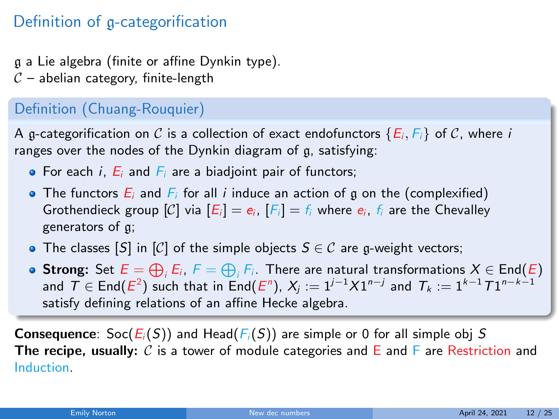## Definition of g-categorification

g a Lie algebra (finite or affine Dynkin type).

 $C$  – abelian category, finite-length

### Definition (Chuang-Rouquier)

A g-categorification on C is a collection of exact endofunctors  $\{E_i, F_i\}$  of C, where i ranges over the nodes of the Dynkin diagram of g, satisfying:

- $\bullet$  For each *i*,  $E_i$  and  $F_i$  are a biadjoint pair of functors;
- The functors  $E_i$  and  $F_i$  for all i induce an action of g on the (complexified) Grothendieck group  $[C]$  via  $[E_i] = e_i$ ,  $[F_i] = f_i$  where  $e_i$ ,  $f_i$  are the Chevalley generators of g;
- The classes  $[S]$  in  $[C]$  of the simple objects  $S \in \mathcal{C}$  are g-weight vectors;
- **Strong:** Set  $E = \bigoplus_i E_i$ ,  $F = \bigoplus_i F_i$ . There are natural transformations  $X \in \mathsf{End}(E)$ and  $T \in End(E^2)$  such that in  $End(E^n)$ ,  $X_j := 1^{j-1}X1^{n-j}$  and  $T_k := 1^{k-1}T1^{n-k-1}$ satisfy defining relations of an affine Hecke algebra.

**Consequence:** Soc( $E_i(S)$ ) and Head( $F_i(S)$ ) are simple or 0 for all simple obj S The recipe, usually: C is a tower of module categories and E and F are Restriction and Induction.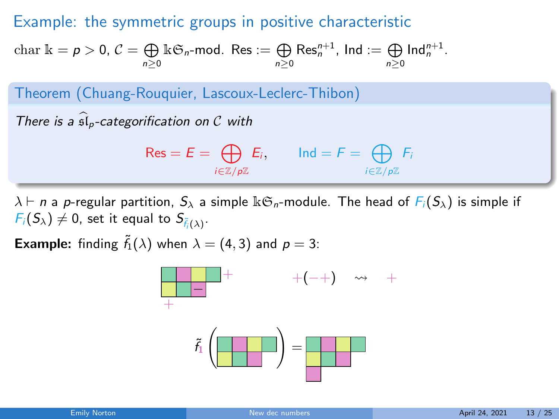### Example: the symmetric groups in positive characteristic

$$
\text{char } \mathbb{k} = p > 0, \, \mathcal{C} = \bigoplus_{n \geq 0} \mathbb{k} \mathfrak{S}_n \text{-mod. Res} := \bigoplus_{n \geq 0} \text{Res}_n^{n+1}, \, \text{Ind} := \bigoplus_{n \geq 0} \text{Ind}_n^{n+1}.
$$

Theorem (Chuang-Rouquier, Lascoux-Leclerc-Thibon)

There is a  $\widehat{\mathfrak{sl}}_p$ -categorification on C with

$$
\mathsf{Res} = E = \bigoplus_{i \in \mathbb{Z}/p\mathbb{Z}} E_i, \qquad \text{Ind} = F = \bigoplus_{i \in \mathbb{Z}/p\mathbb{Z}} F_i
$$

 $\lambda \vdash n$  a p-regular partition,  $S_{\lambda}$  a simple  $\mathbb{k} \mathfrak{S}_n$ -module. The head of  $F_i(S_{\lambda})$  is simple if  $F_i(S_\lambda) \neq 0$ , set it equal to  $S_{\tilde{f}_i(\lambda)}$ .

**Example:** finding  $\tilde{f}_1(\lambda)$  when  $\lambda = (4, 3)$  and  $p = 3$ :

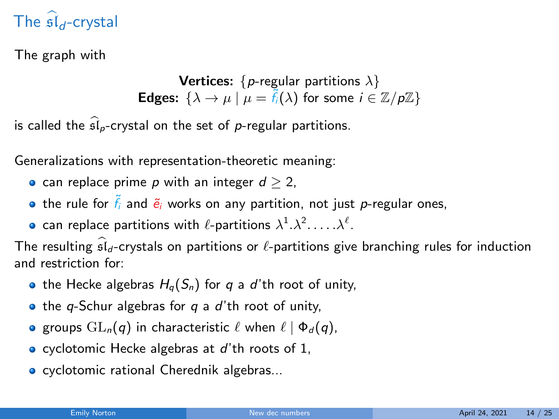# The  $\mathfrak{sl}_d$ -crystal

The graph with

**Vertices:** { $p$ -regular partitions  $\lambda$ } **Edges:**  $\{\lambda \to \mu \mid \mu = \tilde{f}_i(\lambda) \text{ for some } i \in \mathbb{Z}/p\mathbb{Z}\}\$ 

is called the  $\widehat{\mathfrak{sl}}_p$ -crystal on the set of p-regular partitions.

Generalizations with representation-theoretic meaning:

• can replace prime  $p$  with an integer  $d \geq 2$ ,

- $\bullet$  the rule for  $\tilde{f}_i$  and  $\tilde{e}_i$  works on any partition, not just p-regular ones,
- can replace partitions with  $\ell$ -partitions  $\lambda^1.\lambda^2.\ldots.\lambda^\ell.$

The resulting  $\widehat{\mathfrak{sl}}_d$ -crystals on partitions or  $\ell$ -partitions give branching rules for induction and restriction for:

- the Hecke algebras  $H_q(S_n)$  for q a d'th root of unity,
- $\bullet$  the q-Schur algebras for q a d'th root of unity,
- **e** groups  $GL_n(q)$  in characteristic  $\ell$  when  $\ell \mid \Phi_d (q)$ ,
- $\bullet$  cyclotomic Hecke algebras at d'th roots of 1,
- **o** cyclotomic rational Cherednik algebras...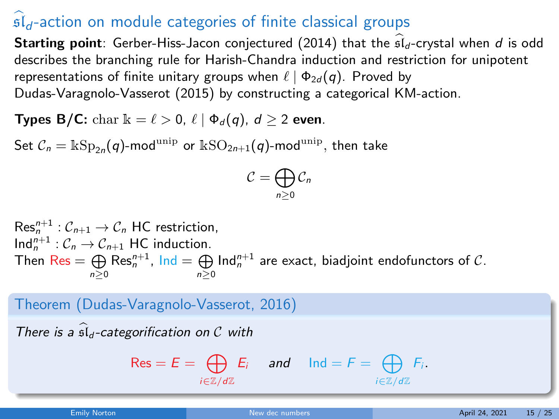# $\mathfrak{sl}_d$ -action on module categories of finite classical groups

**Starting point:** Gerber-Hiss-Jacon conjectured (2014) that the  $\widehat{\mathfrak{sl}}_d$ -crystal when d is odd describes the branching rule for Harish-Chandra induction and restriction for unipotent representations of finite unitary groups when  $\ell | \Phi_{2d} (q)$ . Proved by Dudas-Varagnolo-Vasserot (2015) by constructing a categorical KM-action.

Types B/C: char  $\mathbb{k} = \ell > 0$ ,  $\ell \mid \Phi_d(q)$ ,  $d > 2$  even.

Set  $\mathcal{C}_n = \Bbbk\mathrm{Sp}_{2n}(q)$ -mod $^{\mathrm{unip}}$  or  $\Bbbk\mathrm{SO}_{2n+1}(q)$ -mod $^{\mathrm{unip}},$  then take

$$
\mathcal{C}=\bigoplus_{n\geq 0}\mathcal{C}_n
$$

 $\operatorname{\sf Res}_n^{n+1}: \mathcal{C}_{n+1} \to \mathcal{C}_n$  HC restriction,  $\text{Ind}_{n}^{n+1} : \mathcal{C}_{n} \to \mathcal{C}_{n+1}$  HC induction. Then  $\text{Res} = \bigoplus_{n\geq 0} \text{Res}_n^{n+1}$ ,  $\text{Ind} = \bigoplus_{n\geq 0} \text{Ind}_n^{n+1}$  are exact, biadjoint endofunctors of  $\mathcal{C}$ .

Theorem (Dudas-Varagnolo-Vasserot, 2016)

\nThere is a 
$$
\widehat{sl}_d
$$
-categorification on  $C$  with

\n
$$
\text{Res} = E = \bigoplus_{i \in \mathbb{Z}/d\mathbb{Z}} E_i \quad \text{and} \quad \text{Ind} = F = \bigoplus_{i \in \mathbb{Z}/d\mathbb{Z}} F_i.
$$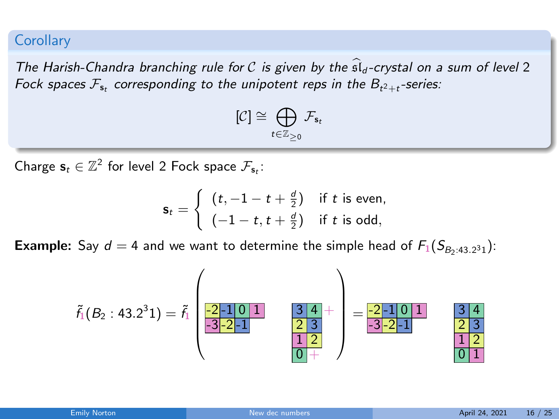#### **Corollary**

The Harish-Chandra branching rule for C is given by the  $\hat{\mathfrak{sl}}_d$ -crystal on a sum of level 2 Fock spaces  $\mathcal{F}_{\mathbf{s}_t}$  corresponding to the unipotent reps in the  $B_{t^2+t}$ -series:

$$
[\mathcal{C}]\cong \bigoplus_{t\in \mathbb{Z}_{\geq 0}} \mathcal{F}_{\mathbf{s}_t}
$$

Charge  $\mathbf{s}_t \in \mathbb{Z}^2$  for level 2 Fock space  $\mathcal{F}_{\mathbf{s}_t}$ :

$$
\mathbf{s}_t = \begin{cases} (t, -1 - t + \frac{d}{2}) & \text{if } t \text{ is even,} \\ (-1 - t, t + \frac{d}{2}) & \text{if } t \text{ is odd,} \end{cases}
$$

**Example:** Say  $d = 4$  and we want to determine the simple head of  $F_1(S_{B_2:43.2^31})$ :

$$
\tilde{f}_1(B_2:43.2^31)=\tilde{f}_1\begin{pmatrix}\n\frac{-2-1 & 0 & 1 \\
-2 & -2 & 1 \\
-3 & -2 & -1\n\end{pmatrix}=\frac{-2-1 & 0 & 1}{-3 & -2 & -1}\begin{pmatrix}\n\frac{-2-1 & 0 & 1 \\
-3 & -2 & -1 \\
\frac{1 & 2 & 0 \\
0 & +2 & 0\n\end{pmatrix}=\frac{-2-1 & 0 & 1}{-3 & -2 & -1}\begin{pmatrix}\n\frac{3 & 4}{2} & \frac{3}{2} & \frac{1}{2} \\
\frac{1 & 2 & 0 & 1 \\
0 & 1 & 0 & 0\n\end{pmatrix}
$$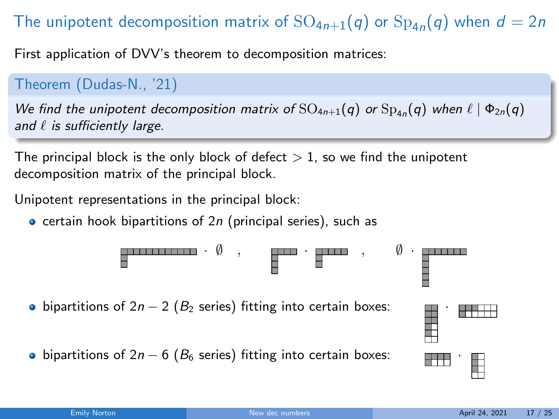# The unipotent decomposition matrix of  $\text{SO}_{4n+1}(q)$  or  $\text{Sp}_{4n}(q)$  when  $d=2n$

First application of DVV's theorem to decomposition matrices:

Theorem (Dudas-N., '21)

We find the unipotent decomposition matrix of  $\mathrm{SO}_{4n+1}(q)$  or  $\mathrm{Sp}_{4n}(q)$  when  $\ell \mid \Phi_{2n}(q)$ and  $\ell$  is sufficiently large.

The principal block is the only block of defect  $> 1$ , so we find the unipotent decomposition matrix of the principal block.

Unipotent representations in the principal block:

 $\bullet$  certain hook bipartitions of 2n (principal series), such as

· ∅ , · , ∅ · 

• bipartitions of 2*n* − 2 ( $B_2$  series) fitting into certain boxes:

• bipartitions of 2n − 6 ( $B_6$  series) fitting into certain boxes:  $\Box$ 

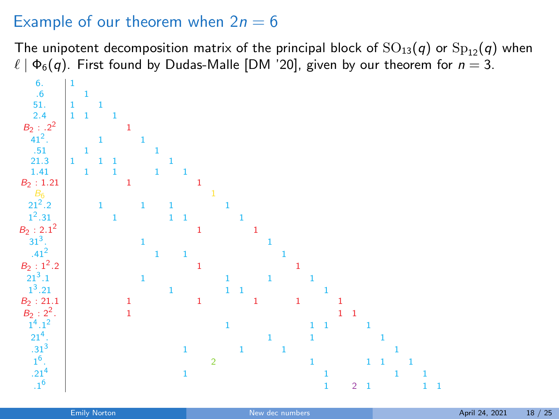## Example of our theorem when  $2n = 6$

The unipotent decomposition matrix of the principal block of  $SO_{13}(q)$  or  $Sp_{12}(q)$  when  $\ell \mid \Phi_6(q)$ . First found by Dudas-Malle [DM '20], given by our theorem for  $n = 3$ .

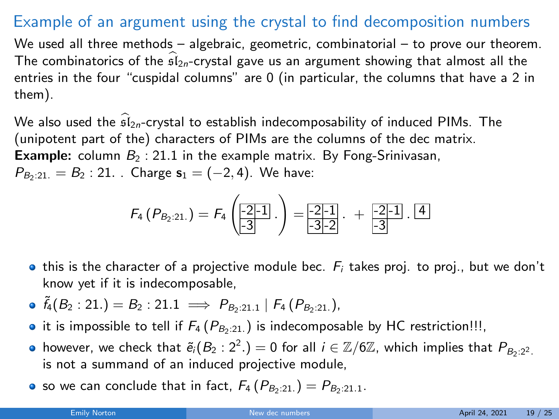## Example of an argument using the crystal to find decomposition numbers

We used all three methods – algebraic, geometric, combinatorial – to prove our theorem. The combinatorics of the  $s\hat{I}_{2n}$ -crystal gave us an argument showing that almost all the entries in the four "cuspidal columns" are 0 (in particular, the columns that have a 2 in them).

We also used the  $\widehat{\mathfrak{sl}}_{2n}$ -crystal to establish indecomposability of induced PIMs. The (unipotent part of the) characters of PIMs are the columns of the dec matrix. **Example:** column  $B_2$ : 21.1 in the example matrix. By Fong-Srinivasan,  $P_{B_2:21.} = B_2:21.$  Charge  $s_1 = (-2, 4)$ . We have:

$$
F_4(P_{B_2:21.}) = F_4\left(\underline{\frac{-2}{3}1}.\right) = \underline{\frac{-2}{3}\cdot 2} \cdot + \underline{\frac{-2}{3}\cdot 1} \cdot \underline{4}
$$

- **•** this is the character of a projective module bec.  $F_i$  takes proj. to proj., but we don't know yet if it is indecomposable,
- $\delta_4(B_2:21.) = B_2:21.1 \implies P_{B_2:21.1} | F_4(P_{B_2:21.}),$
- it is impossible to tell if  $F_4$  ( $P_{B_2:21}$ .) is indecomposable by HC restriction!!!,
- however, we check that  $\tilde{e}_i(B_2:2^2.)=0$  for all  $i\in\mathbb{Z}/6\mathbb{Z}$ , which implies that  $P_{B_2:2^2.1}$ is not a summand of an induced projective module,
- so we can conclude that in fact,  $F_4(P_{B_2:21.}) = P_{B_2:21.1}$ .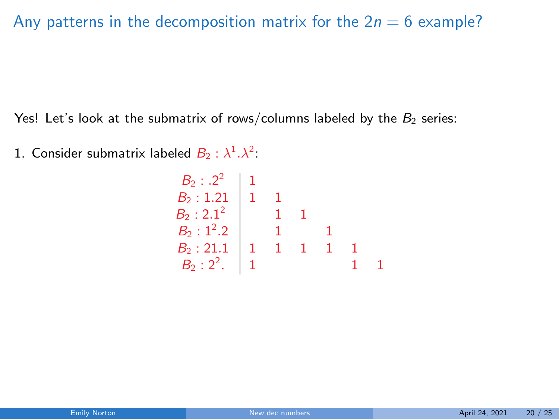## Any patterns in the decomposition matrix for the  $2n = 6$  example?

Yes! Let's look at the submatrix of rows/columns labeled by the  $B_2$  series:

1. Consider submatrix labeled  $B_2 : \lambda^1 \cdot \lambda^2$ :

$$
\begin{array}{c|cccc}\nB_2: .2^2 & 1 \\
B_2: 1.21 & 1 & 1 \\
B_2: 2.1^2 & 1 & 1 \\
B_2: 1^2.2 & 1 & 1 \\
B_2: 21.1 & 1 & 1 & 1 \\
B_2: 2^2 & 1 & 1 & 1 \\
\end{array}
$$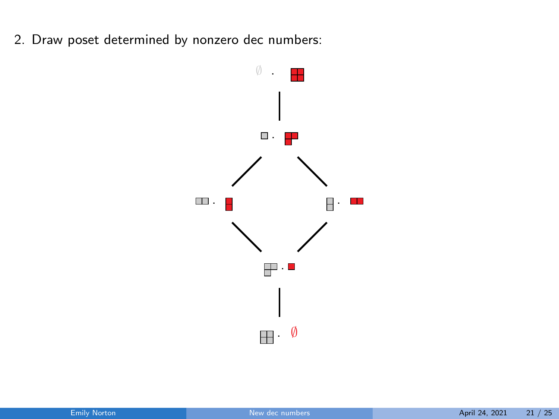2. Draw poset determined by nonzero dec numbers:

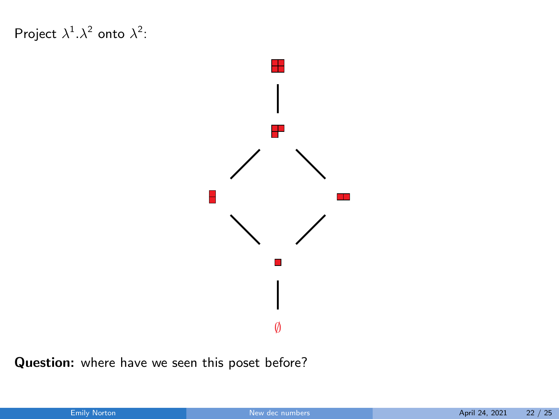Project  $\lambda^1 \cdot \lambda^2$  onto  $\lambda^2$ :



Question: where have we seen this poset before?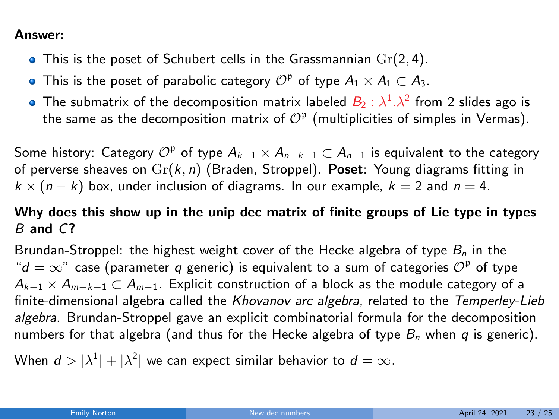#### Answer:

- $\bullet$  This is the poset of Schubert cells in the Grassmannian  $Gr(2, 4)$ .
- This is the poset of parabolic category  $\mathcal{O}^{\mathfrak{p}}$  of type  $A_1 \times A_1 \subset A_3$ .
- The submatrix of the decomposition matrix labeled  $\mathcal{B}_2$  :  $\lambda^1.\lambda^2$  from 2 slides ago is the same as the decomposition matrix of  $\mathcal{O}^{\mathfrak{p}}$  (multiplicities of simples in Vermas).

Some history: Category  $\mathcal{O}^{\mathfrak p}$  of type  $A_{k-1}\times A_{n-k-1}\subset A_{n-1}$  is equivalent to the category of perverse sheaves on  $\text{Gr}(k, n)$  (Braden, Stroppel). Poset: Young diagrams fitting in  $k \times (n-k)$  box, under inclusion of diagrams. In our example,  $k = 2$  and  $n = 4$ .

#### Why does this show up in the unip dec matrix of finite groups of Lie type in types  $B$  and  $C$ ?

Brundan-Stroppel: the highest weight cover of the Hecke algebra of type  $B_n$  in the " $d = \infty$ " case (parameter q generic) is equivalent to a sum of categories  $\mathcal{O}^{\mathfrak p}$  of type  $A_{k-1} \times A_{m-k-1} \subset A_{m-1}$ . Explicit construction of a block as the module category of a finite-dimensional algebra called the Khovanov arc algebra, related to the Temperley-Lieb algebra. Brundan-Stroppel gave an explicit combinatorial formula for the decomposition numbers for that algebra (and thus for the Hecke algebra of type  $B_n$  when q is generic).

When  $d>|\lambda^1|+|\lambda^2|$  we can expect similar behavior to  $d=\infty.$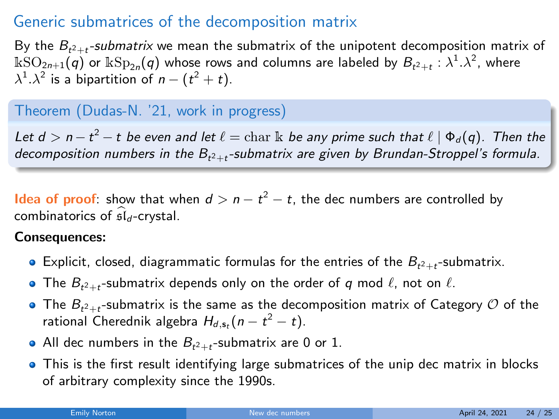## Generic submatrices of the decomposition matrix

By the  $B_{t^2+t}$ -submatrix we mean the submatrix of the unipotent decomposition matrix of  $\Bbbk{\rm SO}_{2n+1}(q)$  or  $\Bbbk{\rm Sp}_{2n}(q)$  whose rows and columns are labeled by  $B_{t^2+t}:\lambda^1.\lambda^2$ , where  $\lambda^1.\lambda^2$  is a bipartition of  $n-(t^2+t).$ 

#### Theorem (Dudas-N. '21, work in progress)

Let  $d > n - t^2 - t$  be even and let  $\ell = \mathrm{char}\, \Bbbk$  be any prime such that  $\ell \mid \Phi_d(q)$ . Then the decomposition numbers in the  $\mathcal{B}_{t^2+t}$ -submatrix are given by Brundan-Stroppel's formula.

Idea of proof: show that when  $d > n - t^2 - t$ , the dec numbers are controlled by combinatorics of  $\hat{\mathfrak{sl}}_d$ -crystal.

#### Consequences:

- Explicit, closed, diagrammatic formulas for the entries of the  $B_{t^2+t}$ -submatrix.
- The  $B_{t^2+t}$ -submatrix depends only on the order of  $q$  mod  $\ell$ , not on  $\ell$ .
- The  $B_{t^2+t}$ -submatrix is the same as the decomposition matrix of Category  ${\cal O}$  of the rational Cherednik algebra  $H_{d,\mathsf{s}_t}(n-t^2-t)$ .
- All dec numbers in the  $B_{t^2+t}$ -submatrix are 0 or 1.
- This is the first result identifying large submatrices of the unip dec matrix in blocks of arbitrary complexity since the 1990s.